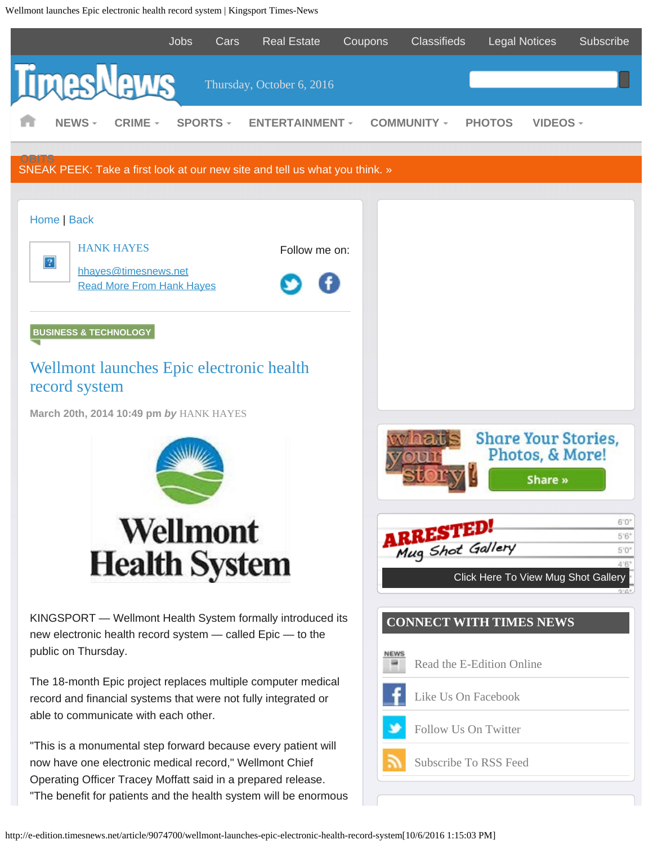<span id="page-0-0"></span>Wellmont launches Epic electronic health record system | Kingsport Times-News



http://e-edition.timesnews.net/article/9074700/wellmont-launches-epic-electronic-health-record-system[10/6/2016 1:15:03 PM]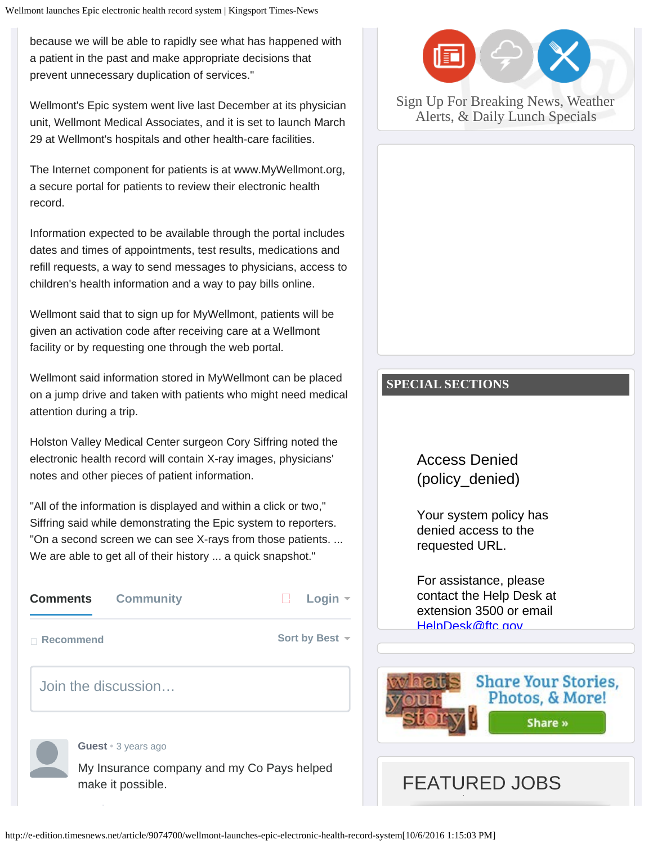because we will be able to rapidly see what has happened with a patient in the past and make appropriate decisions that prevent unnecessary duplication of services."

Wellmont's Epic system went live last December at its physician unit, Wellmont Medical Associates, and it is set to launch March 29 at Wellmont's hospitals and other health-care facilities.

The Internet component for patients is at www.MyWellmont.org, a secure portal for patients to review their electronic health record.

Information expected to be available through the portal includes dates and times of appointments, test results, medications and refill requests, a way to send messages to physicians, access to children's health information and a way to pay bills online.

Wellmont said that to sign up for MyWellmont, patients will be given an activation code after receiving care at a Wellmont facility or by requesting one through the web portal.

Wellmont said information stored in MyWellmont can be placed on a jump drive and taken with patients who might need medical attention during a trip.

Holston Valley Medical Center surgeon Cory Siffring noted the electronic health record will contain X-ray images, physicians' notes and other pieces of patient information.

"All of the information is displayed and within a click or two," Siffring said while demonstrating the Epic system to reporters. "On a second screen we can see X-rays from those patients. ... We are able to get all of their history ... a quick snapshot."



My Insurance company and my Co Pays helped make it possible.



# [Sign Up For Breaking News, Weather](https://2.dat-e-baseonline.com/front/deb.asp?zx=357) [Alerts, & Daily Lunch Specials](https://2.dat-e-baseonline.com/front/deb.asp?zx=357)

# **SPECIAL SECTIONS**

Access Denied (policy\_denied)

Your system policy has denied access to the requested URL.

For assistance, please contact the Help Desk at extension 3500 or email [HelpDesk@ftc](mailto:HelpDesk@ftc.gov).[gov](mailto:HelpDesk@ftc.gov)